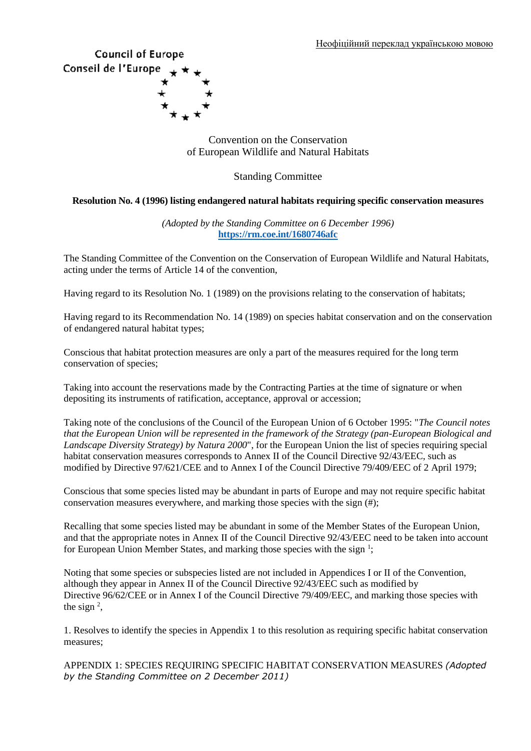# **Council of Europe** Conseil de l'Europe

Convention on the Conservation of European Wildlife and Natural Habitats

Standing Committee

# **Resolution No. 4 (1996) listing endangered natural habitats requiring specific conservation measures**

*(Adopted by the Standing Committee on 6 December 1996)* **<https://rm.coe.int/1680746afc>**

The Standing Committee of the Convention on the Conservation of European Wildlife and Natural Habitats, acting under the terms of Article 14 of the convention,

Having regard to its Resolution No. 1 (1989) on the provisions relating to the conservation of habitats;

Having regard to its Recommendation No. 14 (1989) on species habitat conservation and on the conservation of endangered natural habitat types;

Conscious that habitat protection measures are only a part of the measures required for the long term conservation of species;

Taking into account the reservations made by the Contracting Parties at the time of signature or when depositing its instruments of ratification, acceptance, approval or accession;

Taking note of the conclusions of the Council of the European Union of 6 October 1995: "*The Council notes that the European Union will be represented in the framework of the Strategy (pan-European Biological and Landscape Diversity Strategy) by Natura 2000*", for the European Union the list of species requiring special habitat conservation measures corresponds to Annex II of the Council Directive 92/43/EEC, such as modified by Directive 97/621/CEE and to Annex I of the Council Directive 79/409/EEC of 2 April 1979;

Conscious that some species listed may be abundant in parts of Europe and may not require specific habitat conservation measures everywhere, and marking those species with the sign (#);

Recalling that some species listed may be abundant in some of the Member States of the European Union, and that the appropriate notes in Annex II of the Council Directive 92/43/EEC need to be taken into account for European Union Member States, and marking those species with the sign<sup>1</sup>;

Noting that some species or subspecies listed are not included in Appendices I or II of the Convention, although they appear in Annex II of the Council Directive 92/43/EEC such as modified by Directive 96/62/CEE or in Annex I of the Council Directive 79/409/EEC, and marking those species with the sign  $2$ ,

1. Resolves to identify the species in Appendix 1 to this resolution as requiring specific habitat conservation measures;

APPENDIX 1: SPECIES REQUIRING SPECIFIC HABITAT CONSERVATION MEASURES *(Adopted by the Standing Committee on 2 December 2011)*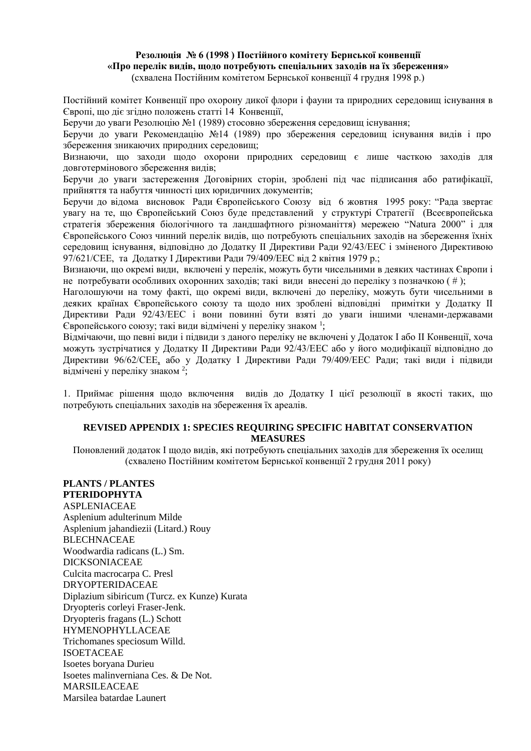#### **Резолюція № 6 (1998 ) Постійного комітету Бернської конвенції «Про перелік видів, щодо потребують спеціальних заходів на їх збереження»** (схвалена Постійним комітетом Бернської конвенції 4 грудня 1998 р.)

Постійний комітет Конвенції про охорону дикої флори і фауни та природних середовищ існування в Європі, що діє згідно положень статті 14 Конвенції,

Беручи до уваги Резолюцію №1 (1989) стосовно збереження середовищ існування;

Беручи до уваги Рекомендацію №14 (1989) про збереження середовищ існування видів і про збереження зникаючих природних середовищ;

Визнаючи, що заходи щодо охорони природних середовищ є лише часткою заходів для довготермінового збереження видів;

Беручи до уваги застереження Договірних сторін, зроблені під час підписання або ратифікації, прийняття та набуття чинності цих юридичних документів;

Беручи до відома висновок Ради Європейського Союзу від 6 жовтня 1995 року: "Рада звертає увагу на те, що Європейський Союз буде представлений у структурі Стратегії (Всеєвропейська стратегія збереження біологічного та ландшафтного різноманіття) мережею "Natura 2000" і для Європейського Союз чинний перелік видів, що потребують спеціальних заходів на збереження їхніх середовищ існування, відповідно до Додатку ІІ Директиви Ради 92/43/ЕЕС і зміненого Директивою 97/621/СЕЕ, та Додатку І Директиви Ради 79/409/ЕЕС від 2 квітня 1979 р.;

Визнаючи, що окремі види, включені у перелік, можуть бути чисельними в деяких частинах Європи і не потребувати особливих охоронних заходів; такі види внесені до переліку з позначкою ( # );

Наголошуючи на тому факті, що окремі види, включені до переліку, можуть бути чисельними в деяких країнах Європейського союзу та щодо них зроблені відповідні примітки у Додатку ІІ Директиви Ради 92/43/ЕЕС і вони повинні бути взяті до уваги іншими членами-державами Європейського союзу; такі види відмічені у переліку знаком <sup>1</sup> ;

Відмічаючи, що певні види і підвиди з даного переліку не включені у Додаток І або ІІ Конвенції, хоча можуть зустрічатися у Додатку ІІ Директиви Ради 92/43/ЕЕС або у його модифікації відповідно до Директиви 96/62/СЕЕ, або у Додатку І Директиви Ради 79/409/ЕЕС Ради; такі види і підвиди відмічені у переліку знаком<sup>2</sup>;

1. Приймає рішення щодо включення видів до Додатку І цієї резолюції в якості таких, що потребують спеціальних заходів на збереження їх ареалів.

## **REVISED APPENDIX 1: SPECIES REQUIRING SPECIFIC HABITAT CONSERVATION MEASURES**

Поновлений додаток І щодо видів, які потребують спеціальних заходів для збереження їх оселищ (схвалено Постійним комітетом Бернської конвенції 2 грудня 2011 року)

**PLANTS / PLANTES PTERIDOPHYTA** ASPLENIACEAE Asplenium adulterinum Milde Asplenium jahandiezii (Litard.) Rouy **BLECHNACEAE** Woodwardia radicans (L.) Sm. DICKSONIACEAE Culcita macrocarpa C. Presl DRYOPTERIDACEAE Diplazium sibiricum (Turcz. ex Kunze) Kurata Dryopteris corleyi Fraser-Jenk. Dryopteris fragans (L.) Schott HYMENOPHYLLACEAE Trichomanes speciosum Willd. ISOETACEAE Isoetes boryana Durieu Isoetes malinverniana Ces. & De Not. MARSILEACEAE Marsilea batardae Launert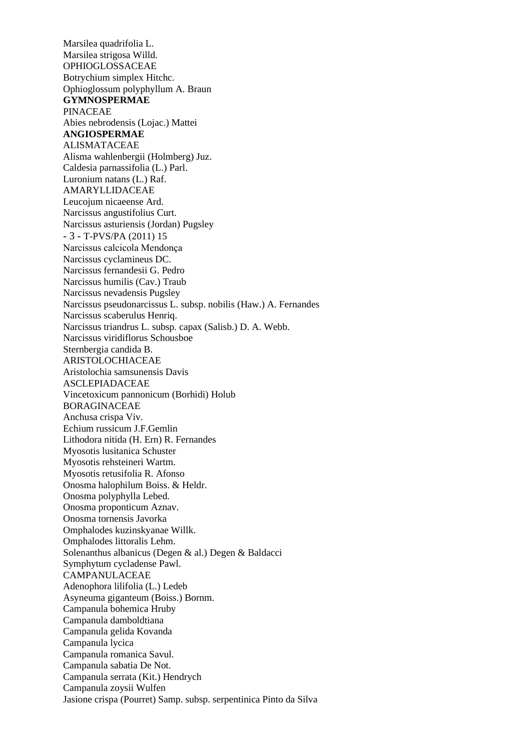Marsilea quadrifolia L. Marsilea strigosa Willd. OPHIOGLOSSACEAE Botrychium simplex Hitchc. Ophioglossum polyphyllum A. Braun **GYMNOSPERMAE** PINACEAE Abies nebrodensis (Lojac.) Mattei **ANGIOSPERMAE** ALISMATACEAE Alisma wahlenbergii (Holmberg) Juz. Caldesia parnassifolia (L.) Parl. Luronium natans (L.) Raf. AMARYLLIDACEAE Leucojum nicaeense Ard. Narcissus angustifolius Curt. Narcissus asturiensis (Jordan) Pugsley - 3 - T-PVS/PA (2011) 15 Narcissus calcicola Mendonça Narcissus cyclamineus DC. Narcissus fernandesii G. Pedro Narcissus humilis (Cav.) Traub Narcissus nevadensis Pugsley Narcissus pseudonarcissus L. subsp. nobilis (Haw.) A. Fernandes Narcissus scaberulus Henriq. Narcissus triandrus L. subsp. capax (Salisb.) D. A. Webb. Narcissus viridiflorus Schousboe Sternbergia candida B. ARISTOLOCHIACEAE Aristolochia samsunensis Davis ASCLEPIADACEAE Vincetoxicum pannonicum (Borhidi) Holub BORAGINACEAE Anchusa crispa Viv. Echium russicum J.F.Gemlin Lithodora nitida (H. Ern) R. Fernandes Myosotis lusitanica Schuster Myosotis rehsteineri Wartm. Myosotis retusifolia R. Afonso Onosma halophilum Boiss. & Heldr. Onosma polyphylla Lebed. Onosma proponticum Aznav. Onosma tornensis Javorka Omphalodes kuzinskyanae Willk. Omphalodes littoralis Lehm. Solenanthus albanicus (Degen & al.) Degen & Baldacci Symphytum cycladense Pawl. CAMPANULACEAE Adenophora lilifolia (L.) Ledeb Asyneuma giganteum (Boiss.) Bornm. Campanula bohemica Hruby Campanula damboldtiana Campanula gelida Kovanda Campanula lycica Campanula romanica Savul. Campanula sabatia De Not. Campanula serrata (Kit.) Hendrych Campanula zoysii Wulfen Jasione crispa (Pourret) Samp. subsp. serpentinica Pinto da Silva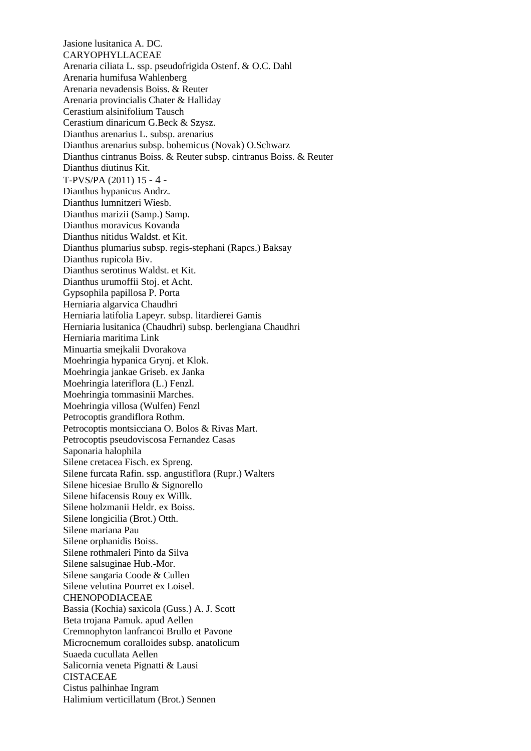Jasione lusitanica A. DC. CARYOPHYLLACEAE Arenaria ciliata L. ssp. pseudofrigida Ostenf. & O.C. Dahl Arenaria humifusa Wahlenberg Arenaria nevadensis Boiss. & Reuter Arenaria provincialis Chater & Halliday Cerastium alsinifolium Tausch Cerastium dinaricum G.Beck & Szysz. Dianthus arenarius L. subsp. arenarius Dianthus arenarius subsp. bohemicus (Novak) O.Schwarz Dianthus cintranus Boiss. & Reuter subsp. cintranus Boiss. & Reuter Dianthus diutinus Kit. T-PVS/PA (2011) 15 - 4 - Dianthus hypanicus Andrz. Dianthus lumnitzeri Wiesb. Dianthus marizii (Samp.) Samp. Dianthus moravicus Kovanda Dianthus nitidus Waldst. et Kit. Dianthus plumarius subsp. regis-stephani (Rapcs.) Baksay Dianthus rupicola Biv. Dianthus serotinus Waldst. et Kit. Dianthus urumoffii Stoj. et Acht. Gypsophila papillosa P. Porta Herniaria algarvica Chaudhri Herniaria latifolia Lapeyr. subsp. litardierei Gamis Herniaria lusitanica (Chaudhri) subsp. berlengiana Chaudhri Herniaria maritima Link Minuartia smejkalii Dvorakova Moehringia hypanica Grynj. et Klok. Moehringia jankae Griseb. ex Janka Moehringia lateriflora (L.) Fenzl. Moehringia tommasinii Marches. Moehringia villosa (Wulfen) Fenzl Petrocoptis grandiflora Rothm. Petrocoptis montsicciana O. Bolos & Rivas Mart. Petrocoptis pseudoviscosa Fernandez Casas Saponaria halophila Silene cretacea Fisch. ex Spreng. Silene furcata Rafin. ssp. angustiflora (Rupr.) Walters Silene hicesiae Brullo & Signorello Silene hifacensis Rouy ex Willk. Silene holzmanii Heldr. ex Boiss. Silene longicilia (Brot.) Otth. Silene mariana Pau Silene orphanidis Boiss. Silene rothmaleri Pinto da Silva Silene salsuginae Hub.-Mor. Silene sangaria Coode & Cullen Silene velutina Pourret ex Loisel. CHENOPODIACEAE Bassia (Kochia) saxicola (Guss.) A. J. Scott Beta trojana Pamuk. apud Aellen Cremnophyton lanfrancoi Brullo et Pavone Microcnemum coralloides subsp. anatolicum Suaeda cucullata Aellen Salicornia veneta Pignatti & Lausi CISTACEAE Cistus palhinhae Ingram Halimium verticillatum (Brot.) Sennen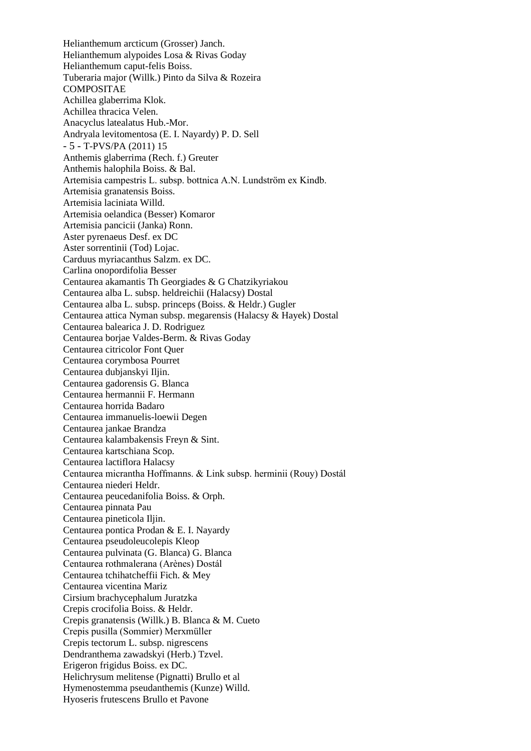Helianthemum arcticum (Grosser) Janch. Helianthemum alypoides Losa & Rivas Goday Helianthemum caput-felis Boiss. Tuberaria major (Willk.) Pinto da Silva & Rozeira COMPOSITAE Achillea glaberrima Klok. Achillea thracica Velen. Anacyclus latealatus Hub.-Mor. Andryala levitomentosa (E. I. Nayardy) P. D. Sell - 5 - T-PVS/PA (2011) 15 Anthemis glaberrima (Rech. f.) Greuter Anthemis halophila Boiss. & Bal. Artemisia campestris L. subsp. bottnica A.N. Lundström ex Kindb. Artemisia granatensis Boiss. Artemisia laciniata Willd. Artemisia oelandica (Besser) Komaror Artemisia pancicii (Janka) Ronn. Aster pyrenaeus Desf. ex DC Aster sorrentinii (Tod) Lojac. Carduus myriacanthus Salzm. ex DC. Carlina onopordifolia Besser Centaurea akamantis Th Georgiades & G Chatzikyriakou Centaurea alba L. subsp. heldreichii (Halacsy) Dostal Centaurea alba L. subsp. princeps (Boiss. & Heldr.) Gugler Centaurea attica Nyman subsp. megarensis (Halacsy & Hayek) Dostal Centaurea balearica J. D. Rodriguez Centaurea borjae Valdes-Berm. & Rivas Goday Centaurea citricolor Font Quer Centaurea corymbosa Pourret Centaurea dubjanskyi Iljin. Centaurea gadorensis G. Blanca Centaurea hermannii F. Hermann Centaurea horrida Badaro Centaurea immanuelis-loewii Degen Centaurea jankae Brandza Centaurea kalambakensis Freyn & Sint. Centaurea kartschiana Scop. Centaurea lactiflora Halacsy Centaurea micrantha Hoffmanns. & Link subsp. herminii (Rouy) Dostál Centaurea niederi Heldr. Centaurea peucedanifolia Boiss. & Orph. Centaurea pinnata Pau Centaurea pineticola Iljin. Centaurea pontica Prodan & E. I. Nayardy Centaurea pseudoleucolepis Kleop Centaurea pulvinata (G. Blanca) G. Blanca Centaurea rothmalerana (Arènes) Dostál Centaurea tchihatcheffii Fich. & Mey Centaurea vicentina Mariz Cirsium brachycephalum Juratzka Crepis crocifolia Boiss. & Heldr. Crepis granatensis (Willk.) B. Blanca & M. Cueto Crepis pusilla (Sommier) Merxmüller Crepis tectorum L. subsp. nigrescens Dendranthema zawadskyi (Herb.) Tzvel. Erigeron frigidus Boiss. ex DC. Helichrysum melitense (Pignatti) Brullo et al Hymenostemma pseudanthemis (Kunze) Willd. Hyoseris frutescens Brullo et Pavone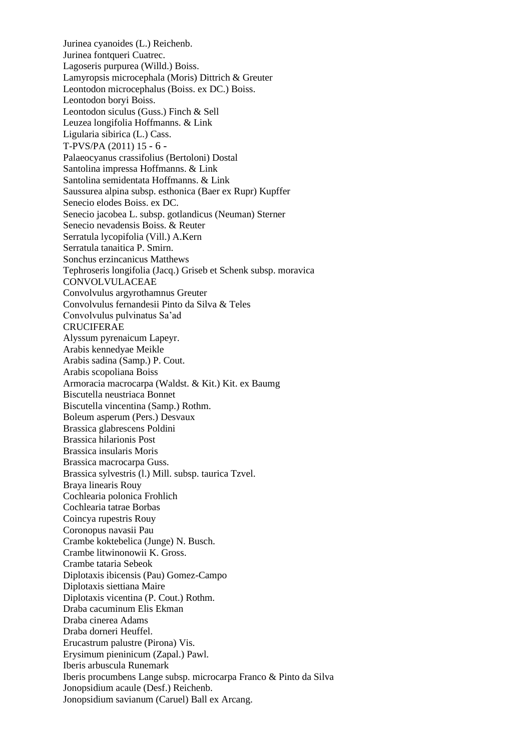Jurinea cyanoides (L.) Reichenb. Jurinea fontqueri Cuatrec. Lagoseris purpurea (Willd.) Boiss. Lamyropsis microcephala (Moris) Dittrich & Greuter Leontodon microcephalus (Boiss. ex DC.) Boiss. Leontodon boryi Boiss. Leontodon siculus (Guss.) Finch & Sell Leuzea longifolia Hoffmanns. & Link Ligularia sibirica (L.) Cass. T-PVS/PA (2011) 15 - 6 - Palaeocyanus crassifolius (Bertoloni) Dostal Santolina impressa Hoffmanns. & Link Santolina semidentata Hoffmanns. & Link Saussurea alpina subsp. esthonica (Baer ex Rupr) Kupffer Senecio elodes Boiss. ex DC. Senecio jacobea L. subsp. gotlandicus (Neuman) Sterner Senecio nevadensis Boiss. & Reuter Serratula lycopifolia (Vill.) A.Kern Serratula tanaitica P. Smirn. Sonchus erzincanicus Matthews Tephroseris longifolia (Jacq.) Griseb et Schenk subsp. moravica **CONVOLVULACEAE** Convolvulus argyrothamnus Greuter Convolvulus fernandesii Pinto da Silva & Teles Convolvulus pulvinatus Sa'ad CRUCIFERAE Alyssum pyrenaicum Lapeyr. Arabis kennedyae Meikle Arabis sadina (Samp.) P. Cout. Arabis scopoliana Boiss Armoracia macrocarpa (Waldst. & Kit.) Kit. ex Baumg Biscutella neustriaca Bonnet Biscutella vincentina (Samp.) Rothm. Boleum asperum (Pers.) Desvaux Brassica glabrescens Poldini Brassica hilarionis Post Brassica insularis Moris Brassica macrocarpa Guss. Brassica sylvestris (l.) Mill. subsp. taurica Tzvel. Braya linearis Rouy Cochlearia polonica Frohlich Cochlearia tatrae Borbas Coincya rupestris Rouy Coronopus navasii Pau Crambe koktebelica (Junge) N. Busch. Crambe litwinonowii K. Gross. Crambe tataria Sebeok Diplotaxis ibicensis (Pau) Gomez-Campo Diplotaxis siettiana Maire Diplotaxis vicentina (P. Cout.) Rothm. Draba cacuminum Elis Ekman Draba cinerea Adams Draba dorneri Heuffel. Erucastrum palustre (Pirona) Vis. Erysimum pieninicum (Zapal.) Pawl. Iberis arbuscula Runemark Iberis procumbens Lange subsp. microcarpa Franco & Pinto da Silva Jonopsidium acaule (Desf.) Reichenb. Jonopsidium savianum (Caruel) Ball ex Arcang.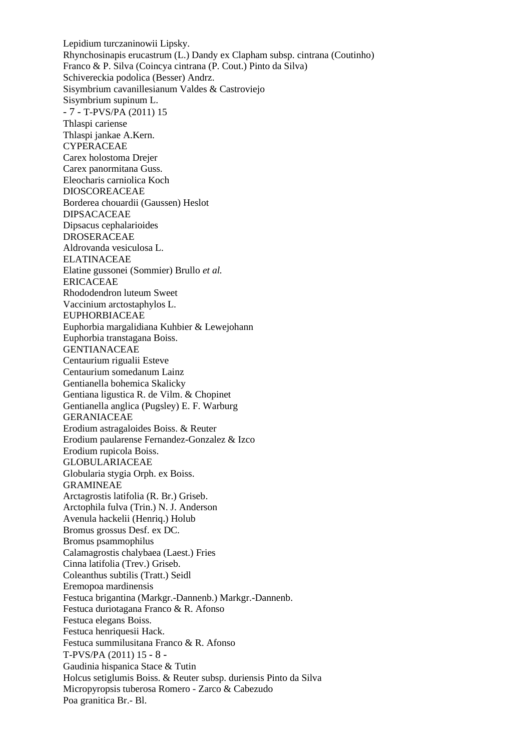Lepidium turczaninowii Lipsky. Rhynchosinapis erucastrum (L.) Dandy ex Clapham subsp. cintrana (Coutinho) Franco & P. Silva (Coincya cintrana (P. Cout.) Pinto da Silva) Schivereckia podolica (Besser) Andrz. Sisymbrium cavanillesianum Valdes & Castroviejo Sisymbrium supinum L. - 7 - T-PVS/PA (2011) 15 Thlaspi cariense Thlaspi jankae A.Kern. CYPERACEAE Carex holostoma Drejer Carex panormitana Guss. Eleocharis carniolica Koch DIOSCOREACEAE Borderea chouardii (Gaussen) Heslot DIPSACACEAE Dipsacus cephalarioides DROSERACEAE Aldrovanda vesiculosa L. ELATINACEAE Elatine gussonei (Sommier) Brullo *et al.* ERICACEAE Rhododendron luteum Sweet Vaccinium arctostaphylos L. EUPHORBIACEAE Euphorbia margalidiana Kuhbier & Lewejohann Euphorbia transtagana Boiss. GENTIANACEAE Centaurium rigualii Esteve Centaurium somedanum Lainz Gentianella bohemica Skalicky Gentiana ligustica R. de Vilm. & Chopinet Gentianella anglica (Pugsley) E. F. Warburg GERANIACEAE Erodium astragaloides Boiss. & Reuter Erodium paularense Fernandez-Gonzalez & Izco Erodium rupicola Boiss. GLOBULARIACEAE Globularia stygia Orph. ex Boiss. GRAMINEAE Arctagrostis latifolia (R. Br.) Griseb. Arctophila fulva (Trin.) N. J. Anderson Avenula hackelii (Henriq.) Holub Bromus grossus Desf. ex DC. Bromus psammophilus Calamagrostis chalybaea (Laest.) Fries Cinna latifolia (Trev.) Griseb. Coleanthus subtilis (Tratt.) Seidl Eremopoa mardinensis Festuca brigantina (Markgr.-Dannenb.) Markgr.-Dannenb. Festuca duriotagana Franco & R. Afonso Festuca elegans Boiss. Festuca henriquesii Hack. Festuca summilusitana Franco & R. Afonso T-PVS/PA (2011) 15 - 8 - Gaudinia hispanica Stace & Tutin Holcus setiglumis Boiss. & Reuter subsp. duriensis Pinto da Silva Micropyropsis tuberosa Romero - Zarco & Cabezudo Poa granitica Br.- Bl.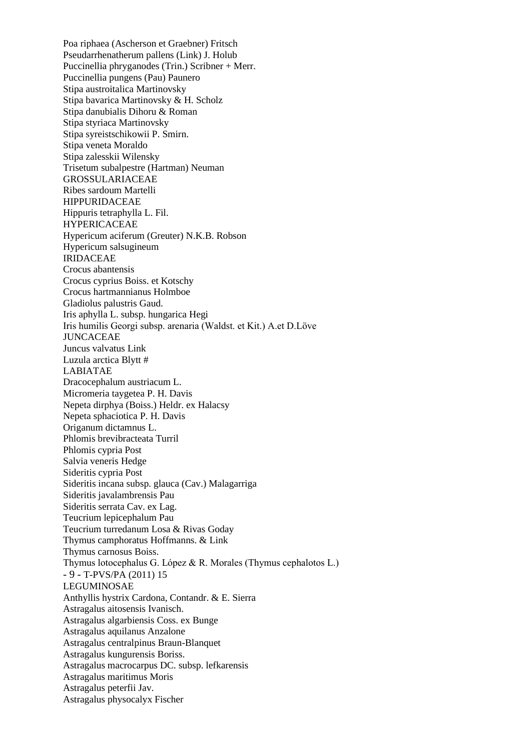Poa riphaea (Ascherson et Graebner) Fritsch Pseudarrhenatherum pallens (Link) J. Holub Puccinellia phryganodes (Trin.) Scribner + Merr. Puccinellia pungens (Pau) Paunero Stipa austroitalica Martinovsky Stipa bavarica Martinovsky & H. Scholz Stipa danubialis Dihoru & Roman Stipa styriaca Martinovsky Stipa syreistschikowii P. Smirn. Stipa veneta Moraldo Stipa zalesskii Wilensky Trisetum subalpestre (Hartman) Neuman GROSSULARIACEAE Ribes sardoum Martelli HIPPURIDACEAE Hippuris tetraphylla L. Fil. HYPERICACEAE Hypericum aciferum (Greuter) N.K.B. Robson Hypericum salsugineum IRIDACEAE Crocus abantensis Crocus cyprius Boiss. et Kotschy Crocus hartmannianus Holmboe Gladiolus palustris Gaud. Iris aphylla L. subsp. hungarica Hegi Iris humilis Georgi subsp. arenaria (Waldst. et Kit.) A.et D.Löve JUNCACEAE Juncus valvatus Link Luzula arctica Blytt # LABIATAE Dracocephalum austriacum L. Micromeria taygetea P. H. Davis Nepeta dirphya (Boiss.) Heldr. ex Halacsy Nepeta sphaciotica P. H. Davis Origanum dictamnus L. Phlomis brevibracteata Turril Phlomis cypria Post Salvia veneris Hedge Sideritis cypria Post Sideritis incana subsp. glauca (Cav.) Malagarriga Sideritis javalambrensis Pau Sideritis serrata Cav. ex Lag. Teucrium lepicephalum Pau Teucrium turredanum Losa & Rivas Goday Thymus camphoratus Hoffmanns. & Link Thymus carnosus Boiss. Thymus lotocephalus G. López & R. Morales (Thymus cephalotos L.) - 9 - T-PVS/PA (2011) 15 LEGUMINOSAE Anthyllis hystrix Cardona, Contandr. & E. Sierra Astragalus aitosensis Ivanisch. Astragalus algarbiensis Coss. ex Bunge Astragalus aquilanus Anzalone Astragalus centralpinus Braun-Blanquet Astragalus kungurensis Boriss. Astragalus macrocarpus DC. subsp. lefkarensis Astragalus maritimus Moris Astragalus peterfii Jav. Astragalus physocalyx Fischer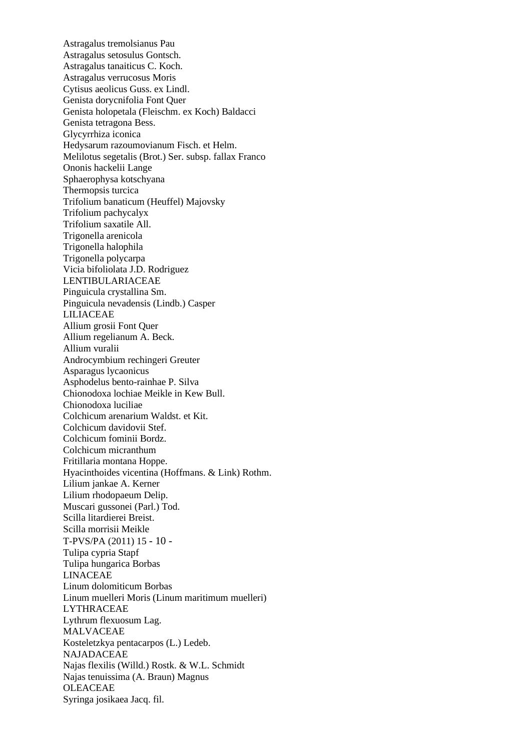Astragalus tremolsianus Pau Astragalus setosulus Gontsch. Astragalus tanaiticus C. Koch. Astragalus verrucosus Moris Cytisus aeolicus Guss. ex Lindl. Genista dorycnifolia Font Quer Genista holopetala (Fleischm. ex Koch) Baldacci Genista tetragona Bess. Glycyrrhiza iconica Hedysarum razoumovianum Fisch. et Helm. Melilotus segetalis (Brot.) Ser. subsp. fallax Franco Ononis hackelii Lange Sphaerophysa kotschyana Thermopsis turcica Trifolium banaticum (Heuffel) Majovsky Trifolium pachycalyx Trifolium saxatile All. Trigonella arenicola Trigonella halophila Trigonella polycarpa Vicia bifoliolata J.D. Rodriguez LENTIBULARIACEAE Pinguicula crystallina Sm. Pinguicula nevadensis (Lindb.) Casper LILIACEAE Allium grosii Font Quer Allium regelianum A. Beck. Allium vuralii Androcymbium rechingeri Greuter Asparagus lycaonicus Asphodelus bento-rainhae P. Silva Chionodoxa lochiae Meikle in Kew Bull. Chionodoxa luciliae Colchicum arenarium Waldst. et Kit. Colchicum davidovii Stef. Colchicum fominii Bordz. Colchicum micranthum Fritillaria montana Hoppe. Hyacinthoides vicentina (Hoffmans. & Link) Rothm. Lilium jankae A. Kerner Lilium rhodopaeum Delip. Muscari gussonei (Parl.) Tod. Scilla litardierei Breist. Scilla morrisii Meikle T-PVS/PA (2011) 15 - 10 - Tulipa cypria Stapf Tulipa hungarica Borbas LINACEAE Linum dolomiticum Borbas Linum muelleri Moris (Linum maritimum muelleri) LYTHRACEAE Lythrum flexuosum Lag. MALVACEAE Kosteletzkya pentacarpos (L.) Ledeb. NAJADACEAE Najas flexilis (Willd.) Rostk. & W.L. Schmidt Najas tenuissima (A. Braun) Magnus OLEACEAE Syringa josikaea Jacq. fil.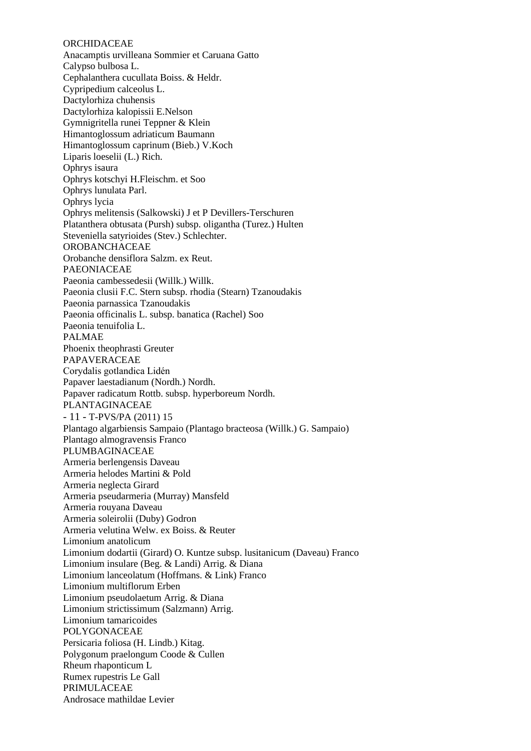#### **ORCHIDACEAE**

Anacamptis urvilleana Sommier et Caruana Gatto Calypso bulbosa L. Cephalanthera cucullata Boiss. & Heldr. Cypripedium calceolus L. Dactylorhiza chuhensis Dactylorhiza kalopissii E.Nelson Gymnigritella runei Teppner & Klein Himantoglossum adriaticum Baumann Himantoglossum caprinum (Bieb.) V.Koch Liparis loeselii (L.) Rich. Ophrys isaura Ophrys kotschyi H.Fleischm. et Soo Ophrys lunulata Parl. Ophrys lycia Ophrys melitensis (Salkowski) J et P Devillers-Terschuren Platanthera obtusata (Pursh) subsp. oligantha (Turez.) Hulten Steveniella satyrioides (Stev.) Schlechter. OROBANCHACEAE Orobanche densiflora Salzm. ex Reut. PAEONIACEAE Paeonia cambessedesii (Willk.) Willk. Paeonia clusii F.C. Stern subsp. rhodia (Stearn) Tzanoudakis Paeonia parnassica Tzanoudakis Paeonia officinalis L. subsp. banatica (Rachel) Soo Paeonia tenuifolia L. PALMAE Phoenix theophrasti Greuter PAPAVERACEAE Corydalis gotlandica Lidén Papaver laestadianum (Nordh.) Nordh. Papaver radicatum Rottb. subsp. hyperboreum Nordh. PLANTAGINACEAE - 11 - T-PVS/PA (2011) 15 Plantago algarbiensis Sampaio (Plantago bracteosa (Willk.) G. Sampaio) Plantago almogravensis Franco PLUMBAGINACEAE Armeria berlengensis Daveau Armeria helodes Martini & Pold Armeria neglecta Girard Armeria pseudarmeria (Murray) Mansfeld Armeria rouyana Daveau Armeria soleirolii (Duby) Godron Armeria velutina Welw. ex Boiss. & Reuter Limonium anatolicum Limonium dodartii (Girard) O. Kuntze subsp. lusitanicum (Daveau) Franco Limonium insulare (Beg. & Landi) Arrig. & Diana Limonium lanceolatum (Hoffmans. & Link) Franco Limonium multiflorum Erben Limonium pseudolaetum Arrig. & Diana Limonium strictissimum (Salzmann) Arrig. Limonium tamaricoides POLYGONACEAE Persicaria foliosa (H. Lindb.) Kitag. Polygonum praelongum Coode & Cullen Rheum rhaponticum L Rumex rupestris Le Gall PRIMULACEAE Androsace mathildae Levier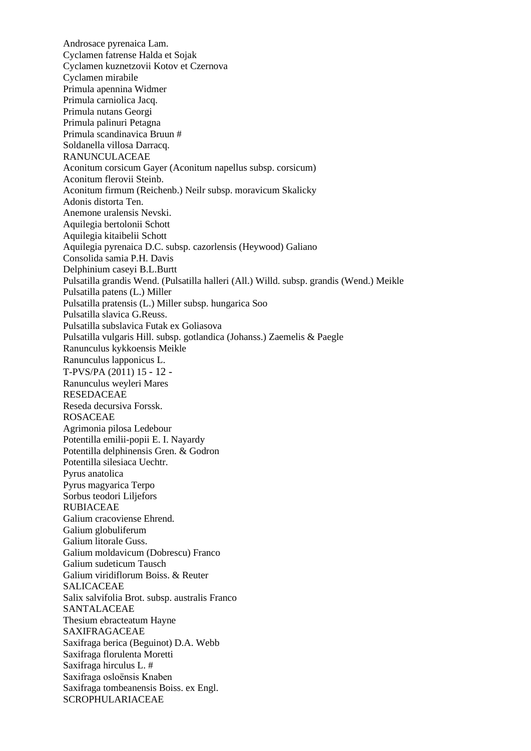Androsace pyrenaica Lam. Cyclamen fatrense Halda et Sojak Cyclamen kuznetzovii Kotov et Czernova Cyclamen mirabile Primula apennina Widmer Primula carniolica Jacq. Primula nutans Georgi Primula palinuri Petagna Primula scandinavica Bruun # Soldanella villosa Darracq. RANUNCULACEAE Aconitum corsicum Gayer (Aconitum napellus subsp. corsicum) Aconitum flerovii Steinb. Aconitum firmum (Reichenb.) Neilr subsp. moravicum Skalicky Adonis distorta Ten. Anemone uralensis Nevski. Aquilegia bertolonii Schott Aquilegia kitaibelii Schott Aquilegia pyrenaica D.C. subsp. cazorlensis (Heywood) Galiano Consolida samia P.H. Davis Delphinium caseyi B.L.Burtt Pulsatilla grandis Wend. (Pulsatilla halleri (All.) Willd. subsp. grandis (Wend.) Meikle Pulsatilla patens (L.) Miller Pulsatilla pratensis (L.) Miller subsp. hungarica Soo Pulsatilla slavica G.Reuss. Pulsatilla subslavica Futak ex Goliasova Pulsatilla vulgaris Hill. subsp. gotlandica (Johanss.) Zaemelis & Paegle Ranunculus kykkoensis Meikle Ranunculus lapponicus L. T-PVS/PA (2011) 15 - 12 - Ranunculus weyleri Mares RESEDACEAE Reseda decursiva Forssk. ROSACEAE Agrimonia pilosa Ledebour Potentilla emilii-popii E. I. Nayardy Potentilla delphinensis Gren. & Godron Potentilla silesiaca Uechtr. Pyrus anatolica Pyrus magyarica Terpo Sorbus teodori Liljefors RUBIACEAE Galium cracoviense Ehrend. Galium globuliferum Galium litorale Guss. Galium moldavicum (Dobrescu) Franco Galium sudeticum Tausch Galium viridiflorum Boiss. & Reuter SALICACEAE Salix salvifolia Brot. subsp. australis Franco SANTALACEAE Thesium ebracteatum Hayne **SAXIFRAGACEAE** Saxifraga berica (Beguinot) D.A. Webb Saxifraga florulenta Moretti Saxifraga hirculus L. # Saxifraga osloënsis Knaben Saxifraga tombeanensis Boiss. ex Engl. SCROPHULARIACEAE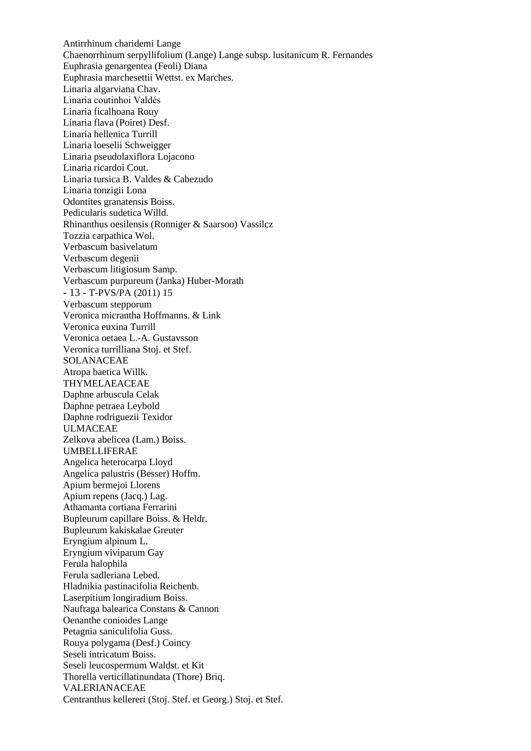Antirrhinum charidemi Lange Chaenorrhinum serpyllifolium (Lange) Lange subsp. lusitanicum R. Fernandes Euphrasia genargentea (Feoli) Diana Euphrasia marchesettii Wettst. ex Marches. Linaria algarviana Chav. Linaria coutinhoi Valdés Linaria ficalhoana Rouy Linaria flava (Poiret) Desf. Linaria hellenica Turrill Linaria loeselii Schweigger Linaria pseudolaxiflora Lojacono Linaria ricardoi Cout. Linaria tursica B. Valdes & Cabezudo Linaria tonzigii Lona Odontites granatensis Boiss. Pedicularis sudetica Willd. Rhinanthus oesilensis (Ronniger & Saarsoo) Vassilcz Tozzia carpathica Wol. Verbascum basivelatum Verbascum degenii Verbascum litigiosum Samp. Verbascum purpureum (Janka) Huber-Morath - 13 - T-PVS/PA (2011) 15 Verbascum stepporum Veronica micrantha Hoffmanns. & Link Veronica euxina Turrill Veronica oetaea L.-A. Gustavsson Veronica turrilliana Stoj. et Stef. SOLANACEAE Atropa baetica Willk. THYMELAEACEAE Daphne arbuscula Celak Daphne petraea Leybold Daphne rodriguezii Texidor ULMACEAE Zelkova abelicea (Lam.) Boiss. UMBELLIFERAE Angelica heterocarpa Lloyd Angelica palustris (Besser) Hoffm. Apium bermejoi Llorens Apium repens (Jacq.) Lag. Athamanta cortiana Ferrarini Bupleurum capillare Boiss. & Heldr. Bupleurum kakiskalae Greuter Eryngium alpinum L. Eryngium viviparum Gay Ferula halophila Ferula sadleriana Lebed. Hladnikia pastinacifolia Reichenb. Laserpitium longiradium Boiss. Naufraga balearica Constans & Cannon Oenanthe conioides Lange Petagnia saniculifolia Guss. Rouya polygama (Desf.) Coincy Seseli intricatum Boiss. Seseli leucospermum Waldst. et Kit Thorella verticillatinundata (Thore) Briq. VALERIANACEAE Centranthus kellereri (Stoj. Stef. et Georg.) Stoj. et Stef.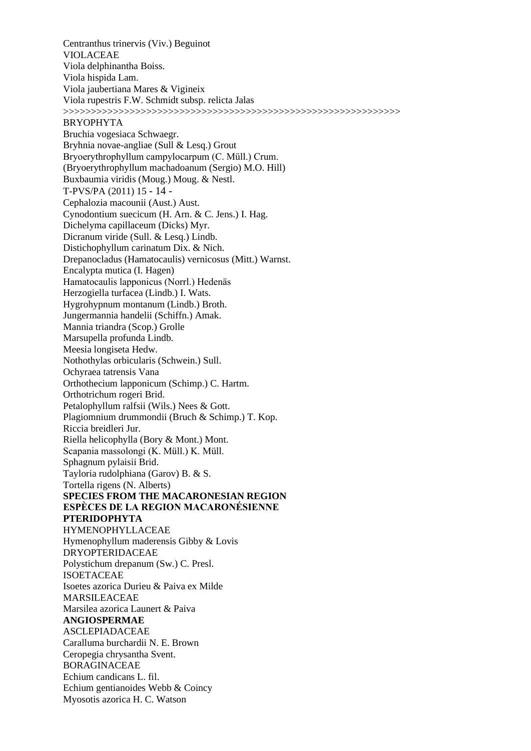Centranthus trinervis (Viv.) Beguinot VIOLACEAE Viola delphinantha Boiss. Viola hispida Lam. Viola jaubertiana Mares & Vigineix Viola rupestris F.W. Schmidt subsp. relicta Jalas >>>>>>>>>>>>>>>>>>>>>>>>>>>>>>>>>>>>>>>>>>>>>>>>>>>>>>>>>>>>> BRYOPHYTA Bruchia vogesiaca Schwaegr. Bryhnia novae-angliae (Sull & Lesq.) Grout Bryoerythrophyllum campylocarpum (C. Müll.) Crum. (Bryoerythrophyllum machadoanum (Sergio) M.O. Hill) Buxbaumia viridis (Moug.) Moug. & Nestl. T-PVS/PA (2011) 15 - 14 - Cephalozia macounii (Aust.) Aust. Cynodontium suecicum (H. Arn. & C. Jens.) I. Hag. Dichelyma capillaceum (Dicks) Myr. Dicranum viride (Sull. & Lesq.) Lindb. Distichophyllum carinatum Dix. & Nich. Drepanocladus (Hamatocaulis) vernicosus (Mitt.) Warnst. Encalypta mutica (I. Hagen) Hamatocaulis lapponicus (Norrl.) Hedenäs Herzogiella turfacea (Lindb.) I. Wats. Hygrohypnum montanum (Lindb.) Broth. Jungermannia handelii (Schiffn.) Amak. Mannia triandra (Scop.) Grolle Marsupella profunda Lindb. Meesia longiseta Hedw. Nothothylas orbicularis (Schwein.) Sull. Ochyraea tatrensis Vana Orthothecium lapponicum (Schimp.) C. Hartm. Orthotrichum rogeri Brid. Petalophyllum ralfsii (Wils.) Nees & Gott. Plagiomnium drummondii (Bruch & Schimp.) T. Kop. Riccia breidleri Jur. Riella helicophylla (Bory & Mont.) Mont. Scapania massolongi (K. Müll.) K. Müll. Sphagnum pylaisii Brid. Tayloria rudolphiana (Garov) B. & S. Tortella rigens (N. Alberts) **SPECIES FROM THE MACARONESIAN REGION ESPÈCES DE LA REGION MACARONÉSIENNE PTERIDOPHYTA** HYMENOPHYLLACEAE Hymenophyllum maderensis Gibby & Lovis DRYOPTERIDACEAE Polystichum drepanum (Sw.) C. Presl. ISOETACEAE Isoetes azorica Durieu & Paiva ex Milde MARSILEACEAE Marsilea azorica Launert & Paiva **ANGIOSPERMAE** ASCLEPIADACEAE Caralluma burchardii N. E. Brown Ceropegia chrysantha Svent. BORAGINACEAE Echium candicans L. fil. Echium gentianoides Webb & Coincy Myosotis azorica H. C. Watson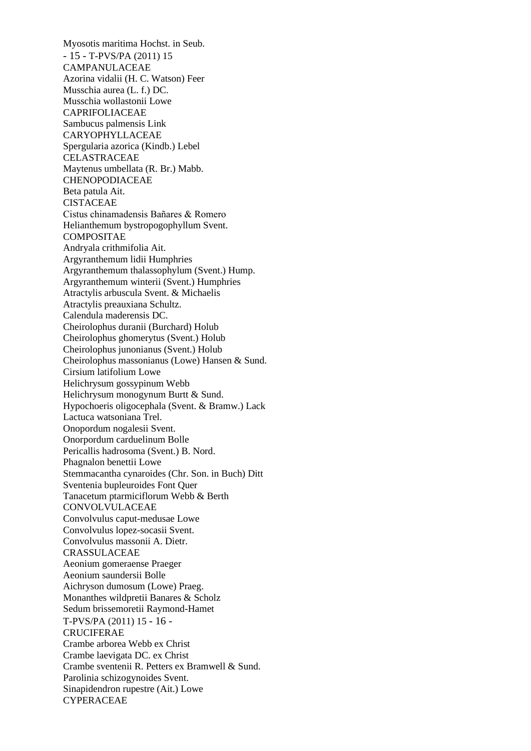Myosotis maritima Hochst. in Seub. - 15 - T-PVS/PA (2011) 15 CAMPANULACEAE Azorina vidalii (H. C. Watson) Feer Musschia aurea (L. f.) DC. Musschia wollastonii Lowe CAPRIFOLIACEAE Sambucus palmensis Link CARYOPHYLLACEAE Spergularia azorica (Kindb.) Lebel CELASTRACEAE Maytenus umbellata (R. Br.) Mabb. CHENOPODIACEAE Beta patula Ait. CISTACEAE Cistus chinamadensis Bañares & Romero Helianthemum bystropogophyllum Svent. COMPOSITAE Andryala crithmifolia Ait. Argyranthemum lidii Humphries Argyranthemum thalassophylum (Svent.) Hump. Argyranthemum winterii (Svent.) Humphries Atractylis arbuscula Svent. & Michaelis Atractylis preauxiana Schultz. Calendula maderensis DC. Cheirolophus duranii (Burchard) Holub Cheirolophus ghomerytus (Svent.) Holub Cheirolophus junonianus (Svent.) Holub Cheirolophus massonianus (Lowe) Hansen & Sund. Cirsium latifolium Lowe Helichrysum gossypinum Webb Helichrysum monogynum Burtt & Sund. Hypochoeris oligocephala (Svent. & Bramw.) Lack Lactuca watsoniana Trel. Onopordum nogalesii Svent. Onorpordum carduelinum Bolle Pericallis hadrosoma (Svent.) B. Nord. Phagnalon benettii Lowe Stemmacantha cynaroides (Chr. Son. in Buch) Ditt Sventenia bupleuroides Font Quer Tanacetum ptarmiciflorum Webb & Berth CONVOLVULACEAE Convolvulus caput-medusae Lowe Convolvulus lopez-socasii Svent. Convolvulus massonii A. Dietr. CRASSULACEAE Aeonium gomeraense Praeger Aeonium saundersii Bolle Aichryson dumosum (Lowe) Praeg. Monanthes wildpretii Banares & Scholz Sedum brissemoretii Raymond-Hamet T-PVS/PA (2011) 15 - 16 - **CRUCIFERAE** Crambe arborea Webb ex Christ Crambe laevigata DC. ex Christ Crambe sventenii R. Petters ex Bramwell & Sund. Parolinia schizogynoides Svent. Sinapidendron rupestre (Ait.) Lowe **CYPERACEAE**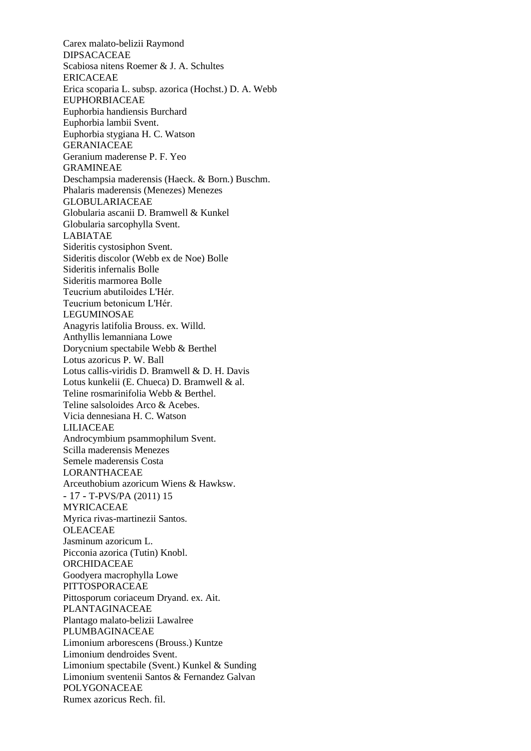Carex malato-belizii Raymond DIPSACACEAE Scabiosa nitens Roemer & J. A. Schultes ERICACEAE Erica scoparia L. subsp. azorica (Hochst.) D. A. Webb EUPHORBIACEAE Euphorbia handiensis Burchard Euphorbia lambii Svent. Euphorbia stygiana H. C. Watson GERANIACEAE Geranium maderense P. F. Yeo GRAMINEAE Deschampsia maderensis (Haeck. & Born.) Buschm. Phalaris maderensis (Menezes) Menezes GLOBULARIACEAE Globularia ascanii D. Bramwell & Kunkel Globularia sarcophylla Svent. LABIATAE Sideritis cystosiphon Svent. Sideritis discolor (Webb ex de Noe) Bolle Sideritis infernalis Bolle Sideritis marmorea Bolle Teucrium abutiloides L'Hér. Teucrium betonicum L'Hér. LEGUMINOSAE Anagyris latifolia Brouss. ex. Willd. Anthyllis lemanniana Lowe Dorycnium spectabile Webb & Berthel Lotus azoricus P. W. Ball Lotus callis-viridis D. Bramwell & D. H. Davis Lotus kunkelii (E. Chueca) D. Bramwell & al. Teline rosmarinifolia Webb & Berthel. Teline salsoloides Arco & Acebes. Vicia dennesiana H. C. Watson LILIACEAE Androcymbium psammophilum Svent. Scilla maderensis Menezes Semele maderensis Costa LORANTHACEAE Arceuthobium azoricum Wiens & Hawksw. - 17 - T-PVS/PA (2011) 15 MYRICACEAE Myrica rivas-martinezii Santos. **OLEACEAE** Jasminum azoricum L. Picconia azorica (Tutin) Knobl. ORCHIDACEAE Goodyera macrophylla Lowe PITTOSPORACEAE Pittosporum coriaceum Dryand. ex. Ait. PLANTAGINACEAE Plantago malato-belizii Lawalree PLUMBAGINACEAE Limonium arborescens (Brouss.) Kuntze Limonium dendroides Svent. Limonium spectabile (Svent.) Kunkel & Sunding Limonium sventenii Santos & Fernandez Galvan POLYGONACEAE Rumex azoricus Rech. fil.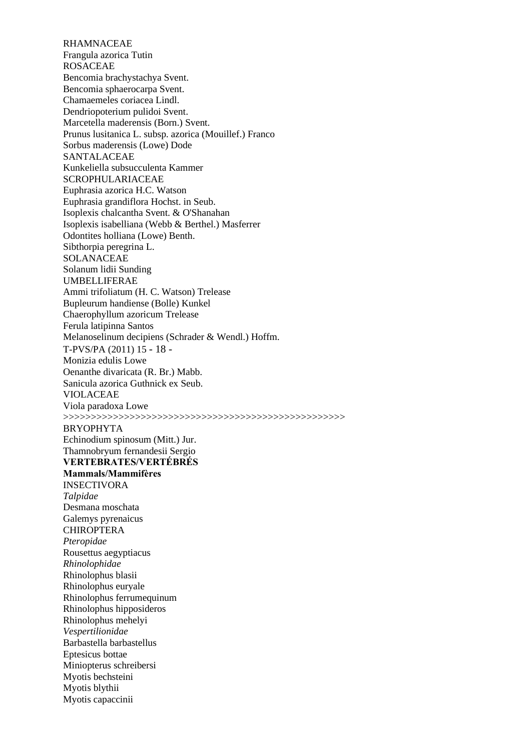RHAMNACEAE Frangula azorica Tutin ROSACEAE Bencomia brachystachya Svent. Bencomia sphaerocarpa Svent. Chamaemeles coriacea Lindl. Dendriopoterium pulidoi Svent. Marcetella maderensis (Born.) Svent. Prunus lusitanica L. subsp. azorica (Mouillef.) Franco Sorbus maderensis (Lowe) Dode SANTALACEAE Kunkeliella subsucculenta Kammer SCROPHULARIACEAE Euphrasia azorica H.C. Watson Euphrasia grandiflora Hochst. in Seub. Isoplexis chalcantha Svent. & O'Shanahan Isoplexis isabelliana (Webb & Berthel.) Masferrer Odontites holliana (Lowe) Benth. Sibthorpia peregrina L. SOLANACEAE Solanum lidii Sunding UMBELLIFERAE Ammi trifoliatum (H. C. Watson) Trelease Bupleurum handiense (Bolle) Kunkel Chaerophyllum azoricum Trelease Ferula latipinna Santos Melanoselinum decipiens (Schrader & Wendl.) Hoffm. T-PVS/PA (2011) 15 - 18 - Monizia edulis Lowe Oenanthe divaricata (R. Br.) Mabb. Sanicula azorica Guthnick ex Seub. VIOLACEAE Viola paradoxa Lowe >>>>>>>>>>>>>>>>>>>>>>>>>>>>>>>>>>>>>>>>>>>>>>>>>>> BRYOPHYTA Echinodium spinosum (Mitt.) Jur. Thamnobryum fernandesii Sergio **VERTEBRATES/VERTÉBRÉS Mammals/Mammifères** INSECTIVORA *Talpidae* Desmana moschata Galemys pyrenaicus CHIROPTERA *Pteropidae* Rousettus aegyptiacus *Rhinolophidae* Rhinolophus blasii Rhinolophus euryale Rhinolophus ferrumequinum Rhinolophus hipposideros Rhinolophus mehelyi *Vespertilionidae* Barbastella barbastellus Eptesicus bottae Miniopterus schreibersi Myotis bechsteini Myotis blythii Myotis capaccinii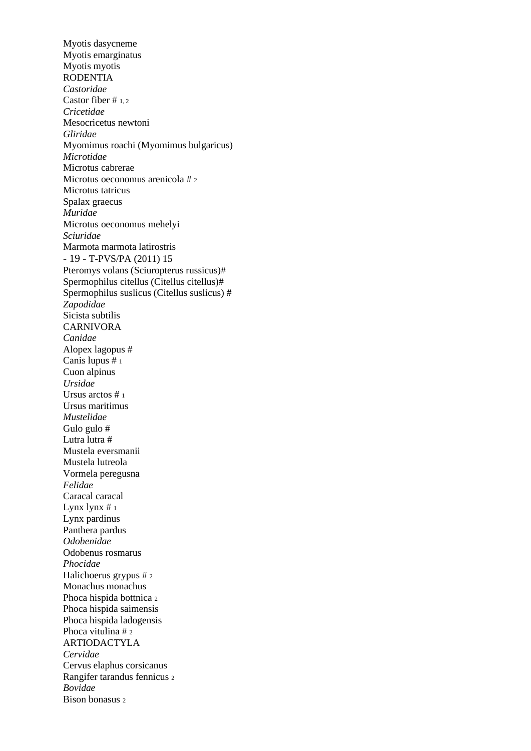Myotis dasycneme Myotis emarginatus Myotis myotis RODENTIA *Castoridae* Castor fiber # 1, 2 *Cricetidae* Mesocricetus newtoni *Gliridae* Myomimus roachi (Myomimus bulgaricus) *Microtidae* Microtus cabrerae Microtus oeconomus arenicola # <sup>2</sup> Microtus tatricus Spalax graecus *Muridae* Microtus oeconomus mehelyi *Sciuridae* Marmota marmota latirostris - 19 - T-PVS/PA (2011) 15 Pteromys volans (Sciuropterus russicus)# Spermophilus citellus (Citellus citellus)# Spermophilus suslicus (Citellus suslicus) # *Zapodidae* Sicista subtilis CARNIVORA *Canidae* Alopex lagopus # Canis lupus # <sup>1</sup> Cuon alpinus *Ursidae* Ursus arctos # <sup>1</sup> Ursus maritimus *Mustelidae* Gulo gulo # Lutra lutra # Mustela eversmanii Mustela lutreola Vormela peregusna *Felidae* Caracal caracal Lynx  $\frac{1}{1}$ Lynx pardinus Panthera pardus *Odobenidae* Odobenus rosmarus *Phocidae* Halichoerus grypus # <sup>2</sup> Monachus monachus Phoca hispida bottnica <sup>2</sup> Phoca hispida saimensis Phoca hispida ladogensis Phoca vitulina # 2 ARTIODACTYLA *Cervidae* Cervus elaphus corsicanus Rangifer tarandus fennicus <sup>2</sup> *Bovidae* Bison bonasus 2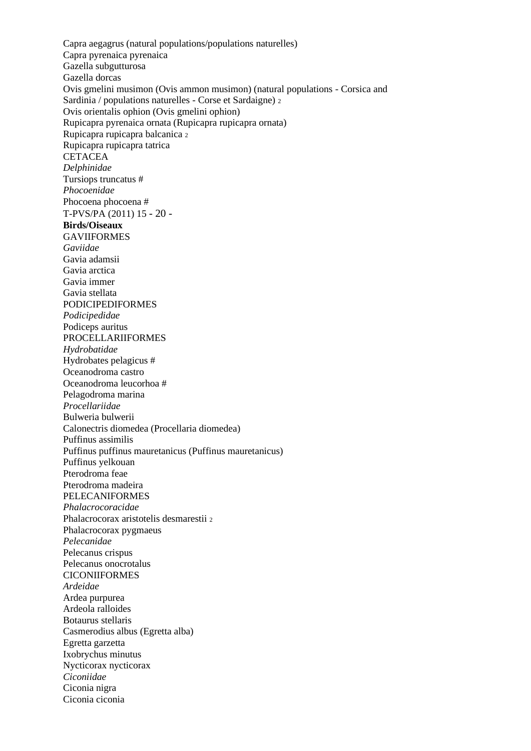Capra aegagrus (natural populations/populations naturelles) Capra pyrenaica pyrenaica Gazella subgutturosa Gazella dorcas Ovis gmelini musimon (Ovis ammon musimon) (natural populations - Corsica and Sardinia / populations naturelles - Corse et Sardaigne) <sup>2</sup> Ovis orientalis ophion (Ovis gmelini ophion) Rupicapra pyrenaica ornata (Rupicapra rupicapra ornata) Rupicapra rupicapra balcanica <sup>2</sup> Rupicapra rupicapra tatrica **CETACEA** *Delphinidae* Tursiops truncatus # *Phocoenidae* Phocoena phocoena # T-PVS/PA (2011) 15 - 20 - **Birds/Oiseaux** GAVIIFORMES *Gaviidae* Gavia adamsii Gavia arctica Gavia immer Gavia stellata PODICIPEDIFORMES *Podicipedidae* Podiceps auritus PROCELLARIIFORMES *Hydrobatidae* Hydrobates pelagicus # Oceanodroma castro Oceanodroma leucorhoa # Pelagodroma marina *Procellariidae* Bulweria bulwerii Calonectris diomedea (Procellaria diomedea) Puffinus assimilis Puffinus puffinus mauretanicus (Puffinus mauretanicus) Puffinus yelkouan Pterodroma feae Pterodroma madeira PELECANIFORMES *Phalacrocoracidae* Phalacrocorax aristotelis desmarestii <sup>2</sup> Phalacrocorax pygmaeus *Pelecanidae* Pelecanus crispus Pelecanus onocrotalus **CICONIIFORMES** *Ardeidae* Ardea purpurea Ardeola ralloides Botaurus stellaris Casmerodius albus (Egretta alba) Egretta garzetta Ixobrychus minutus Nycticorax nycticorax *Ciconiidae* Ciconia nigra Ciconia ciconia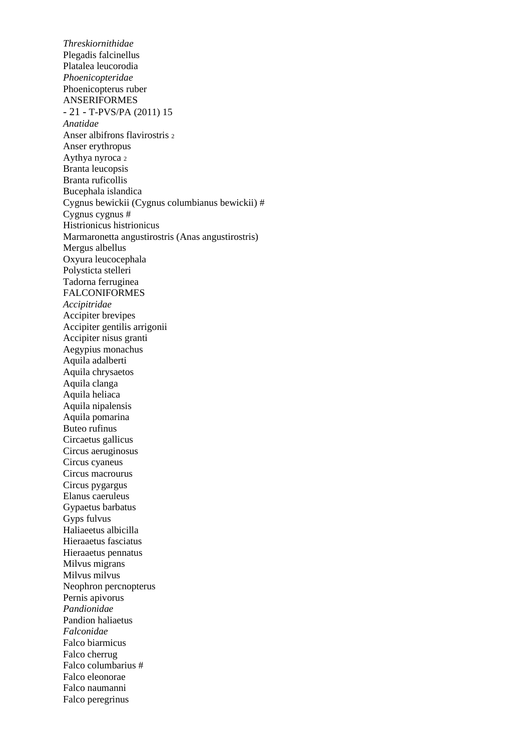*Threskiornithidae* Plegadis falcinellus Platalea leucorodia *Phoenicopteridae* Phoenicopterus ruber ANSERIFORMES - 21 - T-PVS/PA (2011) 15 *Anatidae* Anser albifrons flavirostris <sup>2</sup> Anser erythropus Aythya nyroca <sup>2</sup> Branta leucopsis Branta ruficollis Bucephala islandica Cygnus bewickii (Cygnus columbianus bewickii) # Cygnus cygnus # Histrionicus histrionicus Marmaronetta angustirostris (Anas angustirostris) Mergus albellus Oxyura leucocephala Polysticta stelleri Tadorna ferruginea FALCONIFORMES *Accipitridae* Accipiter brevipes Accipiter gentilis arrigonii Accipiter nisus granti Aegypius monachus Aquila adalberti Aquila chrysaetos Aquila clanga Aquila heliaca Aquila nipalensis Aquila pomarina Buteo rufinus Circaetus gallicus Circus aeruginosus Circus cyaneus Circus macrourus Circus pygargus Elanus caeruleus Gypaetus barbatus Gyps fulvus Haliaeetus albicilla Hieraaetus fasciatus Hieraaetus pennatus Milvus migrans Milvus milvus Neophron percnopterus Pernis apivorus *Pandionidae* Pandion haliaetus *Falconidae* Falco biarmicus Falco cherrug Falco columbarius # Falco eleonorae Falco naumanni Falco peregrinus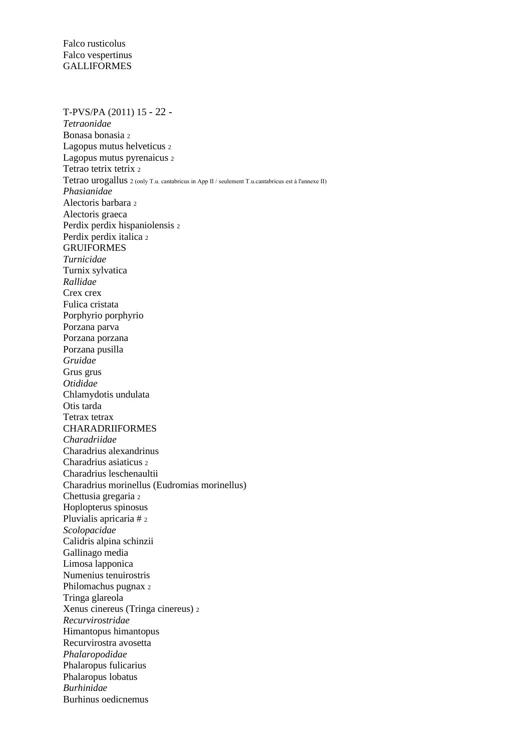T-PVS/PA (2011) 15 - 22 - *Tetraonidae* Bonasa bonasia <sup>2</sup> Lagopus mutus helveticus <sup>2</sup> Lagopus mutus pyrenaicus <sup>2</sup> Tetrao tetrix tetrix 2 Tetrao urogallus 2 (only T.u. cantabricus in App II / seulement T.u.cantabricus est à l'annexe II) *Phasianidae* Alectoris barbara <sup>2</sup> Alectoris graeca Perdix perdix hispaniolensis <sup>2</sup> Perdix perdix italica <sup>2</sup> GRUIFORMES *Turnicidae* Turnix sylvatica *Rallidae* Crex crex Fulica cristata Porphyrio porphyrio Porzana parva Porzana porzana Porzana pusilla *Gruidae* Grus grus *Otididae* Chlamydotis undulata Otis tarda Tetrax tetrax CHARADRIIFORMES *Charadriidae* Charadrius alexandrinus Charadrius asiaticus <sup>2</sup> Charadrius leschenaultii Charadrius morinellus (Eudromias morinellus) Chettusia gregaria <sup>2</sup> Hoplopterus spinosus Pluvialis apricaria # <sup>2</sup> *Scolopacidae* Calidris alpina schinzii Gallinago media Limosa lapponica Numenius tenuirostris Philomachus pugnax <sup>2</sup> Tringa glareola Xenus cinereus (Tringa cinereus) <sup>2</sup> *Recurvirostridae* Himantopus himantopus Recurvirostra avosetta *Phalaropodidae* Phalaropus fulicarius Phalaropus lobatus *Burhinidae* Burhinus oedicnemus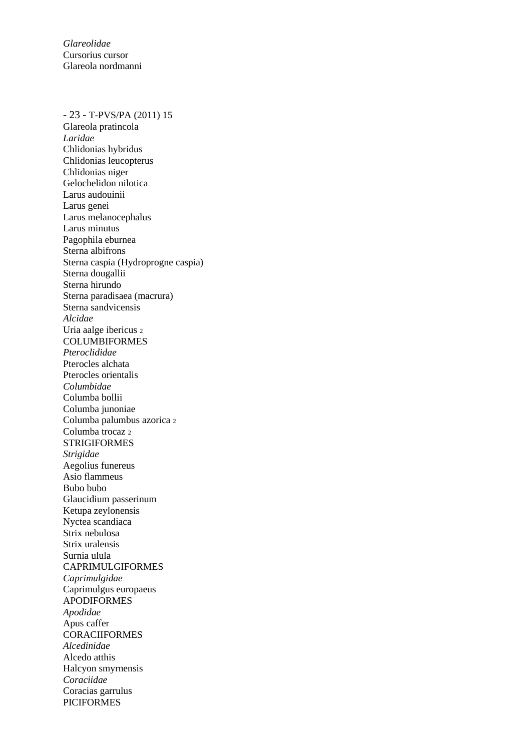*Glareolidae* Cursorius cursor Glareola nordmanni

#### - 23 - T-PVS/PA (2011) 15

Glareola pratincola *Laridae* Chlidonias hybridus Chlidonias leucopterus Chlidonias niger Gelochelidon nilotica Larus audouinii Larus genei Larus melanocephalus Larus minutus Pagophila eburnea Sterna albifrons Sterna caspia (Hydroprogne caspia) Sterna dougallii Sterna hirundo Sterna paradisaea (macrura) Sterna sandvicensis *Alcidae* Uria aalge ibericus <sup>2</sup> COLUMBIFORMES *Pteroclididae* Pterocles alchata Pterocles orientalis *Columbidae* Columba bollii Columba junoniae Columba palumbus azorica <sup>2</sup> Columba trocaz 2 STRIGIFORMES *Strigidae* Aegolius funereus Asio flammeus Bubo bubo Glaucidium passerinum Ketupa zeylonensis Nyctea scandiaca Strix nebulosa Strix uralensis Surnia ulula CAPRIMULGIFORMES *Caprimulgidae* Caprimulgus europaeus APODIFORMES *Apodidae* Apus caffer **CORACIIFORMES** *Alcedinidae* Alcedo atthis Halcyon smyrnensis *Coraciidae* Coracias garrulus PICIFORMES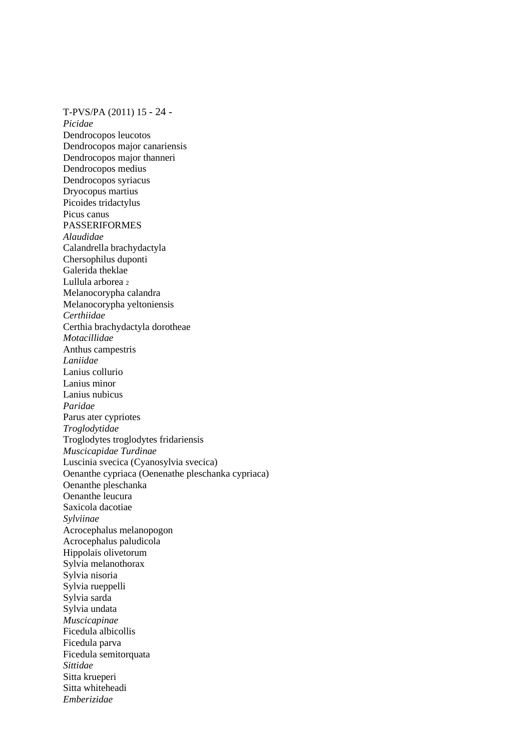T-PVS/PA (2011) 15 - 24 - *Picidae* Dendrocopos leucotos Dendrocopos major canariensis Dendrocopos major thanneri Dendrocopos medius Dendrocopos syriacus Dryocopus martius Picoides tridactylus Picus canus PASSERIFORMES *Alaudidae* Calandrella brachydactyla Chersophilus duponti Galerida theklae Lullula arborea 2 Melanocorypha calandra Melanocorypha yeltoniensis *Certhiidae* Certhia brachydactyla dorotheae *Motacillidae* Anthus campestris *Laniidae* Lanius collurio Lanius minor Lanius nubicus *Paridae* Parus ater cypriotes *Troglodytidae* Troglodytes troglodytes fridariensis *Muscicapidae Turdinae* Luscinia svecica (Cyanosylvia svecica) Oenanthe cypriaca (Oenenathe pleschanka cypriaca) Oenanthe pleschanka Oenanthe leucura Saxicola dacotiae *Sylviinae* Acrocephalus melanopogon Acrocephalus paludicola Hippolais olivetorum Sylvia melanothorax Sylvia nisoria Sylvia rueppelli Sylvia sarda Sylvia undata *Muscicapinae* Ficedula albicollis Ficedula parva Ficedula semitorquata *Sittidae* Sitta krueperi Sitta whiteheadi *Emberizidae*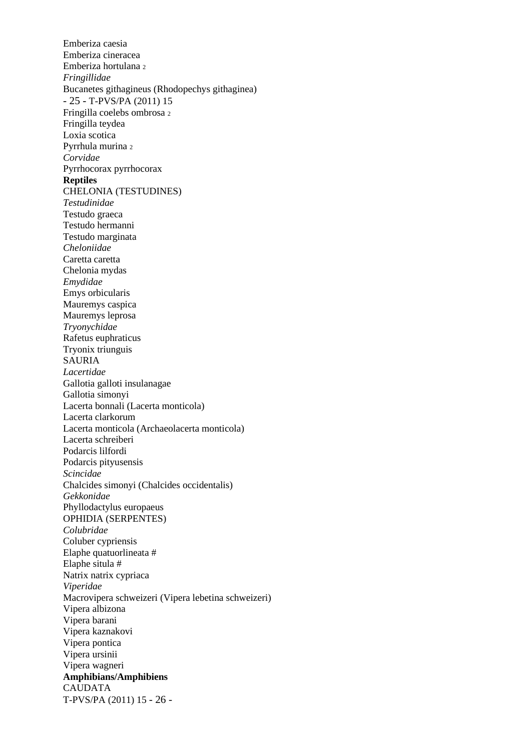Emberiza caesia Emberiza cineracea Emberiza hortulana <sup>2</sup> *Fringillidae* Bucanetes githagineus (Rhodopechys githaginea) - 25 - T-PVS/PA (2011) 15 Fringilla coelebs ombrosa <sup>2</sup> Fringilla teydea Loxia scotica Pyrrhula murina <sup>2</sup> *Corvidae* Pyrrhocorax pyrrhocorax **Reptiles** CHELONIA (TESTUDINES) *Testudinidae* Testudo graeca Testudo hermanni Testudo marginata *Cheloniidae* Caretta caretta Chelonia mydas *Emydidae* Emys orbicularis Mauremys caspica Mauremys leprosa *Tryonychidae* Rafetus euphraticus Tryonix triunguis SAURIA *Lacertidae* Gallotia galloti insulanagae Gallotia simonyi Lacerta bonnali (Lacerta monticola) Lacerta clarkorum Lacerta monticola (Archaeolacerta monticola) Lacerta schreiberi Podarcis lilfordi Podarcis pityusensis *Scincidae* Chalcides simonyi (Chalcides occidentalis) *Gekkonidae* Phyllodactylus europaeus OPHIDIA (SERPENTES) *Colubridae* Coluber cypriensis Elaphe quatuorlineata # Elaphe situla # Natrix natrix cypriaca *Viperidae* Macrovipera schweizeri (Vipera lebetina schweizeri) Vipera albizona Vipera barani Vipera kaznakovi Vipera pontica Vipera ursinii Vipera wagneri **Amphibians/Amphibiens** CAUDATA T-PVS/PA (2011) 15 - 26 -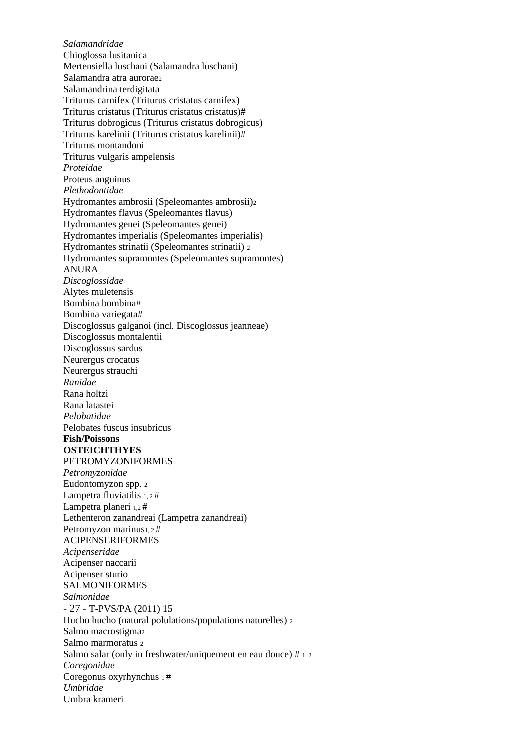*Salamandridae* Chioglossa lusitanica Mertensiella luschani (Salamandra luschani) Salamandra atra aurorae<sub>2</sub> Salamandrina terdigitata Triturus carnifex (Triturus cristatus carnifex) Triturus cristatus (Triturus cristatus cristatus)# Triturus dobrogicus (Triturus cristatus dobrogicus) Triturus karelinii (Triturus cristatus karelinii)# Triturus montandoni Triturus vulgaris ampelensis *Proteidae* Proteus anguinus *Plethodontidae* Hydromantes ambrosii (Speleomantes ambrosii)<sup>2</sup> Hydromantes flavus (Speleomantes flavus) Hydromantes genei (Speleomantes genei) Hydromantes imperialis (Speleomantes imperialis) Hydromantes strinatii (Speleomantes strinatii) <sup>2</sup> Hydromantes supramontes (Speleomantes supramontes) ANURA *Discoglossidae* Alytes muletensis Bombina bombina# Bombina variegata# Discoglossus galganoi (incl. Discoglossus jeanneae) Discoglossus montalentii Discoglossus sardus Neurergus crocatus Neurergus strauchi *Ranidae* Rana holtzi Rana latastei *Pelobatidae* Pelobates fuscus insubricus **Fish/Poissons OSTEICHTHYES** PETROMYZONIFORMES *Petromyzonidae* Eudontomyzon spp. <sup>2</sup> Lampetra fluviatilis  $1, 2$  # Lampetra planeri 1,2# Lethenteron zanandreai (Lampetra zanandreai) Petromyzon marinus<sub>1, 2</sub># ACIPENSERIFORMES *Acipenseridae* Acipenser naccarii Acipenser sturio SALMONIFORMES *Salmonidae* - 27 - T-PVS/PA (2011) 15 Hucho hucho (natural polulations/populations naturelles) <sup>2</sup> Salmo macrostigmaz Salmo marmoratus <sup>2</sup> Salmo salar (only in freshwater/uniquement en eau douce) # 1, 2 *Coregonidae* Coregonus oxyrhynchus 1 # *Umbridae* Umbra krameri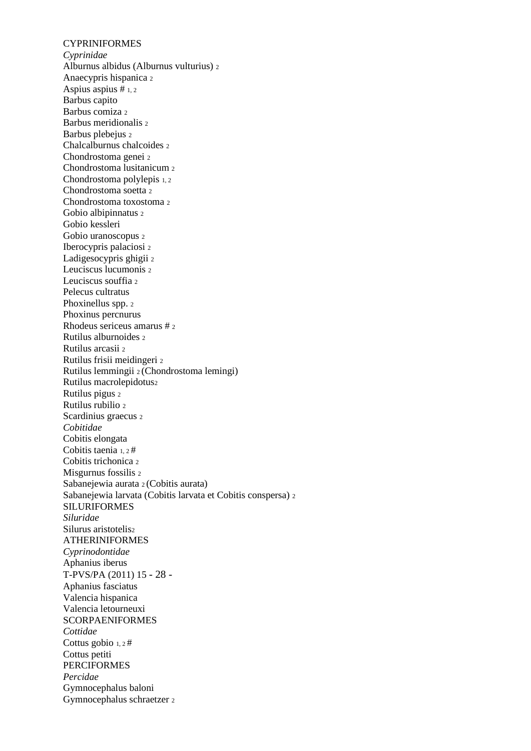**CYPRINIFORMES** *Cyprinidae* Alburnus albidus (Alburnus vulturius) <sup>2</sup> Anaecypris hispanica <sup>2</sup> Aspius aspius # 1, 2 Barbus capito Barbus comiza <sup>2</sup> Barbus meridionalis <sup>2</sup> Barbus plebejus <sup>2</sup> Chalcalburnus chalcoides <sup>2</sup> Chondrostoma genei <sup>2</sup> Chondrostoma lusitanicum <sup>2</sup> Chondrostoma polylepis 1, 2 Chondrostoma soetta <sup>2</sup> Chondrostoma toxostoma <sup>2</sup> Gobio albipinnatus <sup>2</sup> Gobio kessleri Gobio uranoscopus <sup>2</sup> Iberocypris palaciosi <sup>2</sup> Ladigesocypris ghigii <sup>2</sup> Leuciscus lucumonis <sup>2</sup> Leuciscus souffia 2 Pelecus cultratus Phoxinellus spp. 2 Phoxinus percnurus Rhodeus sericeus amarus # <sup>2</sup> Rutilus alburnoides <sup>2</sup> Rutilus arcasii <sup>2</sup> Rutilus frisii meidingeri <sup>2</sup> Rutilus lemmingii 2 (Chondrostoma lemingi) Rutilus macrolepidotus<sup>2</sup> Rutilus pigus <sup>2</sup> Rutilus rubilio <sup>2</sup> Scardinius graecus <sup>2</sup> *Cobitidae* Cobitis elongata Cobitis taenia 1, 2 # Cobitis trichonica <sup>2</sup> Misgurnus fossilis <sup>2</sup> Sabanejewia aurata 2 (Cobitis aurata) Sabanejewia larvata (Cobitis larvata et Cobitis conspersa) <sup>2</sup> SILURIFORMES *Siluridae* Silurus aristotelis<sup>2</sup> ATHERINIFORMES *Cyprinodontidae* Aphanius iberus T-PVS/PA (2011) 15 - 28 - Aphanius fasciatus Valencia hispanica Valencia letourneuxi **SCORPAENIFORMES** *Cottidae* Cottus gobio 1, 2 # Cottus petiti **PERCIFORMES** *Percidae* Gymnocephalus baloni Gymnocephalus schraetzer 2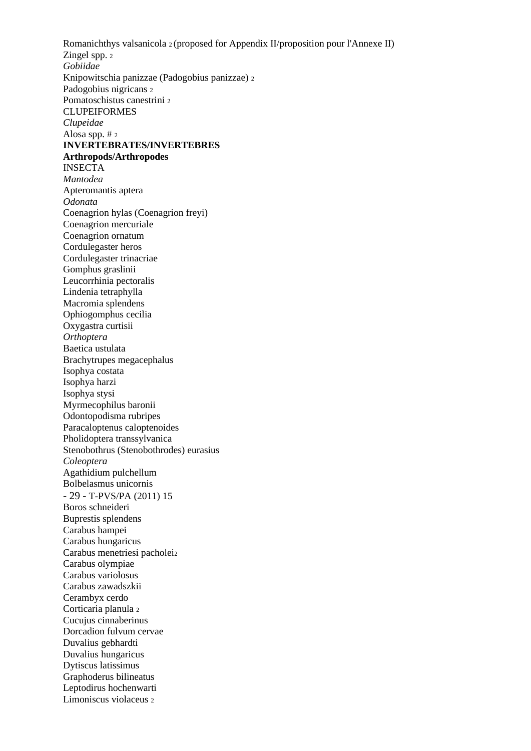Romanichthys valsanicola 2 (proposed for Appendix II/proposition pour l'Annexe II) Zingel spp. 2 *Gobiidae* Knipowitschia panizzae (Padogobius panizzae) <sup>2</sup> Padogobius nigricans <sup>2</sup> Pomatoschistus canestrini <sup>2</sup> CLUPEIFORMES *Clupeidae* Alosa spp. # <sup>2</sup> **INVERTEBRATES/INVERTEBRES Arthropods/Arthropodes** INSECTA *Mantodea* Apteromantis aptera *Odonata* Coenagrion hylas (Coenagrion freyi) Coenagrion mercuriale Coenagrion ornatum Cordulegaster heros Cordulegaster trinacriae Gomphus graslinii Leucorrhinia pectoralis Lindenia tetraphylla Macromia splendens Ophiogomphus cecilia Oxygastra curtisii *Orthoptera* Baetica ustulata Brachytrupes megacephalus Isophya costata Isophya harzi Isophya stysi Myrmecophilus baronii Odontopodisma rubripes Paracaloptenus caloptenoides Pholidoptera transsylvanica Stenobothrus (Stenobothrodes) eurasius *Coleoptera* Agathidium pulchellum Bolbelasmus unicornis - 29 - T-PVS/PA (2011) 15 Boros schneideri Buprestis splendens Carabus hampei Carabus hungaricus Carabus menetriesi pacholei<sup>2</sup> Carabus olympiae Carabus variolosus Carabus zawadszkii Cerambyx cerdo Corticaria planula <sup>2</sup> Cucujus cinnaberinus Dorcadion fulvum cervae Duvalius gebhardti Duvalius hungaricus Dytiscus latissimus Graphoderus bilineatus Leptodirus hochenwarti Limoniscus violaceus 2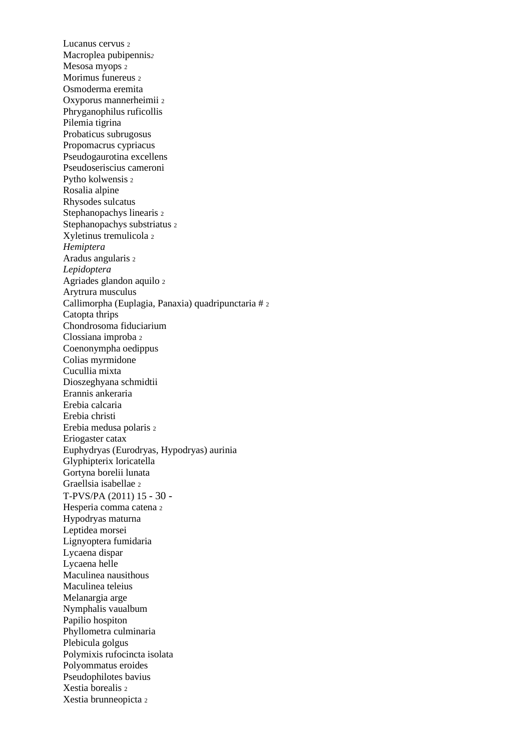Lucanus cervus <sup>2</sup> Macroplea pubipennis*<sup>2</sup>* Mesosa myops <sup>2</sup> Morimus funereus <sup>2</sup> Osmoderma eremita Oxyporus mannerheimii <sup>2</sup> Phryganophilus ruficollis Pilemia tigrina Probaticus subrugosus Propomacrus cypriacus Pseudogaurotina excellens Pseudoseriscius cameroni Pytho kolwensis <sup>2</sup> Rosalia alpine Rhysodes sulcatus Stephanopachys linearis <sup>2</sup> Stephanopachys substriatus <sup>2</sup> Xyletinus tremulicola <sup>2</sup> *Hemiptera* Aradus angularis <sup>2</sup> *Lepidoptera* Agriades glandon aquilo <sup>2</sup> Arytrura musculus Callimorpha (Euplagia, Panaxia) quadripunctaria # <sup>2</sup> Catopta thrips Chondrosoma fiduciarium Clossiana improba <sup>2</sup> Coenonympha oedippus Colias myrmidone Cucullia mixta Dioszeghyana schmidtii Erannis ankeraria Erebia calcaria Erebia christi Erebia medusa polaris <sup>2</sup> Eriogaster catax Euphydryas (Eurodryas, Hypodryas) aurinia Glyphipterix loricatella Gortyna borelii lunata Graellsia isabellae <sup>2</sup> T-PVS/PA (2011) 15 - 30 - Hesperia comma catena <sup>2</sup> Hypodryas maturna Leptidea morsei Lignyoptera fumidaria Lycaena dispar Lycaena helle Maculinea nausithous Maculinea teleius Melanargia arge Nymphalis vaualbum Papilio hospiton Phyllometra culminaria Plebicula golgus Polymixis rufocincta isolata Polyommatus eroides Pseudophilotes bavius Xestia borealis <sup>2</sup> Xestia brunneopicta 2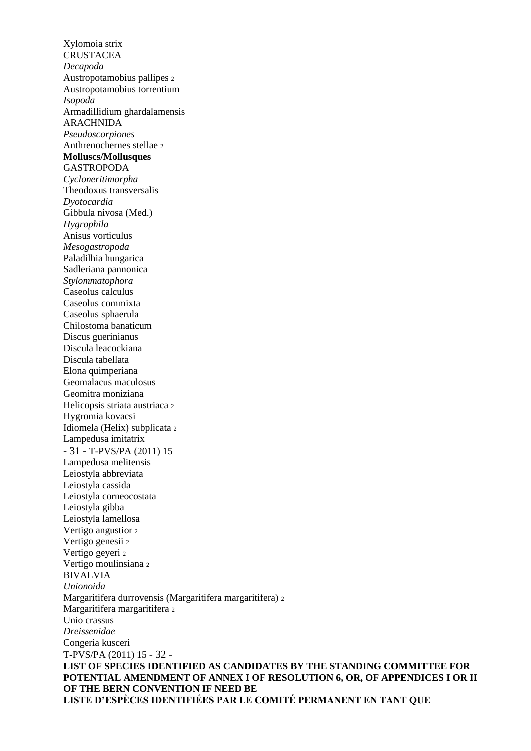Xylomoia strix **CRUSTACEA** *Decapoda* Austropotamobius pallipes <sup>2</sup> Austropotamobius torrentium *Isopoda* Armadillidium ghardalamensis ARACHNIDA *Pseudoscorpiones* Anthrenochernes stellae <sup>2</sup> **Molluscs/Mollusques** GASTROPODA *Cycloneritimorpha* Theodoxus transversalis *Dyotocardia* Gibbula nivosa (Med.) *Hygrophila* Anisus vorticulus *Mesogastropoda* Paladilhia hungarica Sadleriana pannonica *Stylommatophora* Caseolus calculus Caseolus commixta Caseolus sphaerula Chilostoma banaticum Discus guerinianus Discula leacockiana Discula tabellata Elona quimperiana Geomalacus maculosus Geomitra moniziana Helicopsis striata austriaca <sup>2</sup> Hygromia kovacsi Idiomela (Helix) subplicata <sup>2</sup> Lampedusa imitatrix - 31 - T-PVS/PA (2011) 15 Lampedusa melitensis Leiostyla abbreviata Leiostyla cassida Leiostyla corneocostata Leiostyla gibba Leiostyla lamellosa Vertigo angustior <sup>2</sup> Vertigo genesii <sup>2</sup> Vertigo geyeri <sup>2</sup> Vertigo moulinsiana <sup>2</sup> BIVALVIA *Unionoida* Margaritifera durrovensis (Margaritifera margaritifera) <sup>2</sup> Margaritifera margaritifera <sup>2</sup> Unio crassus *Dreissenidae* Congeria kusceri T-PVS/PA (2011) 15 - 32 - **LIST OF SPECIES IDENTIFIED AS CANDIDATES BY THE STANDING COMMITTEE FOR POTENTIAL AMENDMENT OF ANNEX I OF RESOLUTION 6, OR, OF APPENDICES I OR II OF THE BERN CONVENTION IF NEED BE LISTE D'ESPÈCES IDENTIFIÉES PAR LE COMITÉ PERMANENT EN TANT QUE**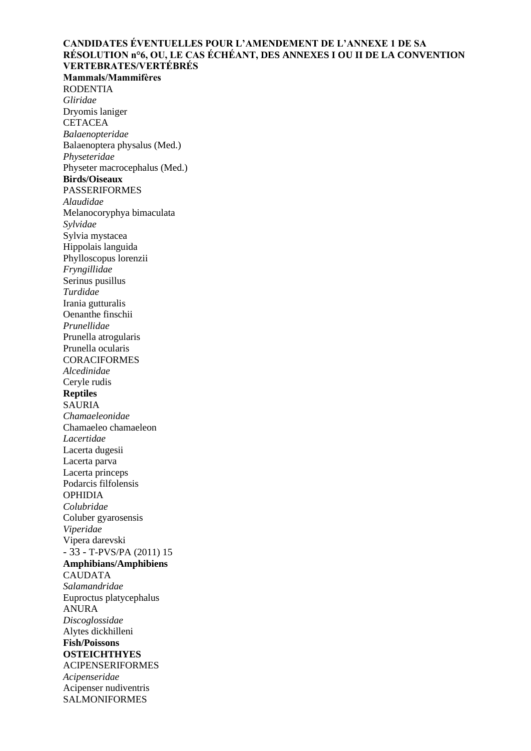### **CANDIDATES ÉVENTUELLES POUR L'AMENDEMENT DE L'ANNEXE 1 DE SA RÉSOLUTION n°6, OU, LE CAS ÉCHÉANT, DES ANNEXES I OU II DE LA CONVENTION VERTEBRATES/VERTÉBRÉS**

**Mammals/Mammifères** RODENTIA *Gliridae* Dryomis laniger **CETACEA** *Balaenopteridae* Balaenoptera physalus (Med.) *Physeteridae* Physeter macrocephalus (Med.) **Birds/Oiseaux** PASSERIFORMES *Alaudidae* Melanocoryphya bimaculata *Sylvidae* Sylvia mystacea Hippolais languida Phylloscopus lorenzii *Fryngillidae* Serinus pusillus *Turdidae* Irania gutturalis Oenanthe finschii *Prunellidae* Prunella atrogularis Prunella ocularis **CORACIFORMES** *Alcedinidae* Ceryle rudis **Reptiles** SAURIA *Chamaeleonidae* Chamaeleo chamaeleon *Lacertidae* Lacerta dugesii Lacerta parva Lacerta princeps Podarcis filfolensis OPHIDIA *Colubridae* Coluber gyarosensis *Viperidae* Vipera darevski - 33 - T-PVS/PA (2011) 15 **Amphibians/Amphibiens** CAUDATA *Salamandridae* Euproctus platycephalus ANURA *Discoglossidae* Alytes dickhilleni **Fish/Poissons OSTEICHTHYES** ACIPENSERIFORMES *Acipenseridae* Acipenser nudiventris SALMONIFORMES